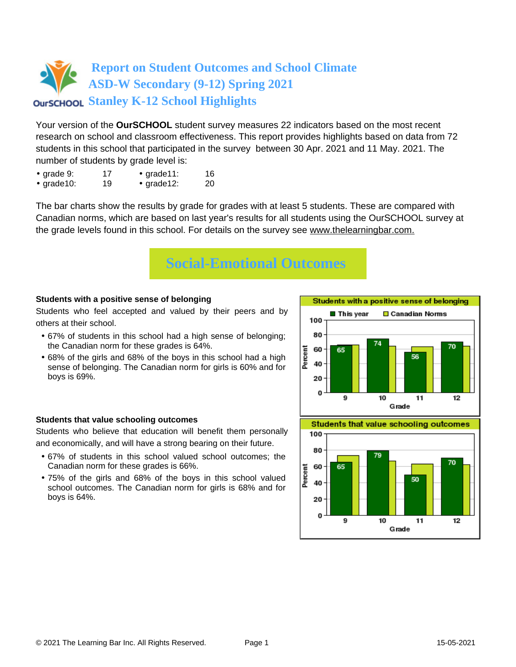Your version of the **OurSCHOOL** student survey measures 22 indicators based on the most recent research on school and classroom effectiveness. This report provides highlights based on data from 72 students in this school that participated in the survey between 30 Apr. 2021 and 11 May. 2021. The number of students by grade level is:

- grade 9: 17 grade 11: 16
- grade10: 19 grade12: 20

The bar charts show the results by grade for grades with at least 5 students. These are compared with Canadian norms, which are based on last year's results for all students using the OurSCHOOL survey at the grade levels found in this school. For details on the survey see [www.thelearningbar.com.](www.thelearningbar.com)



### **Students with a positive sense of belonging**

Students who feel accepted and valued by their peers and by others at their school.

- 67% of students in this school had a high sense of belonging; the Canadian norm for these grades is 64%.
- 68% of the girls and 68% of the boys in this school had a high sense of belonging. The Canadian norm for girls is 60% and for boys is 69%.

### **Students that value schooling outcomes**

Students who believe that education will benefit them personally and economically, and will have a strong bearing on their future.

- 67% of students in this school valued school outcomes; the Canadian norm for these grades is 66%.
- 75% of the girls and 68% of the boys in this school valued school outcomes. The Canadian norm for girls is 68% and for boys is 64%.



**Students that value schooling outcomes** 

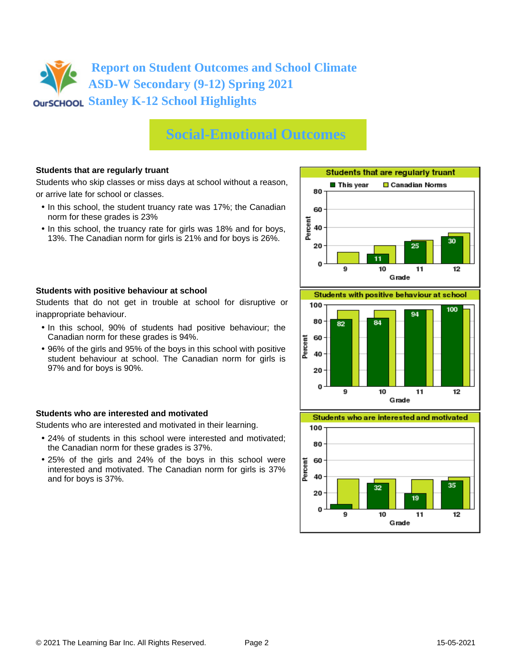# **Social-Emotional Outcomes**

### **Students that are regularly truant**

Students who skip classes or miss days at school without a reason, or arrive late for school or classes.

- In this school, the student truancy rate was 17%; the Canadian norm for these grades is 23%
- In this school, the truancy rate for girls was 18% and for boys, 13%. The Canadian norm for girls is 21% and for boys is 26%.





Students that do not get in trouble at school for disruptive or inappropriate behaviour.

- In this school, 90% of students had positive behaviour; the Canadian norm for these grades is 94%.
- 96% of the girls and 95% of the boys in this school with positive student behaviour at school. The Canadian norm for girls is 97% and for boys is 90%.

### **Students who are interested and motivated**

Students who are interested and motivated in their learning.

- 24% of students in this school were interested and motivated; the Canadian norm for these grades is 37%.
- 25% of the girls and 24% of the boys in this school were interested and motivated. The Canadian norm for girls is 37% and for boys is 37%.



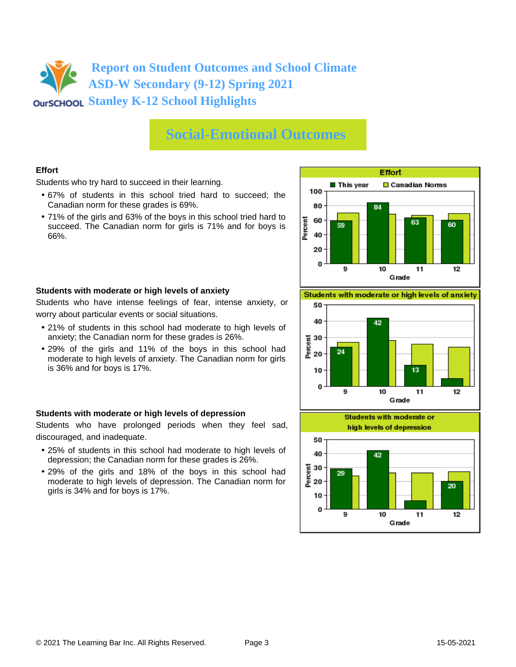## **Social-Emotional Outcomes**

### **Effort**

Students who try hard to succeed in their learning.

- 67% of students in this school tried hard to succeed; the Canadian norm for these grades is 69%.
- 71% of the girls and 63% of the boys in this school tried hard to succeed. The Canadian norm for girls is 71% and for boys is 66%.



#### **Students with moderate or high levels of anxiety**

Students who have intense feelings of fear, intense anxiety, or worry about particular events or social situations.

- 21% of students in this school had moderate to high levels of anxiety; the Canadian norm for these grades is 26%.
- 29% of the girls and 11% of the boys in this school had moderate to high levels of anxiety. The Canadian norm for girls is 36% and for boys is 17%.

#### **Students with moderate or high levels of depression**

Students who have prolonged periods when they feel sad, discouraged, and inadequate.

- 25% of students in this school had moderate to high levels of depression; the Canadian norm for these grades is 26%.
- 29% of the girls and 18% of the boys in this school had moderate to high levels of depression. The Canadian norm for girls is 34% and for boys is 17%.

Students with moderate or high levels of anxiety



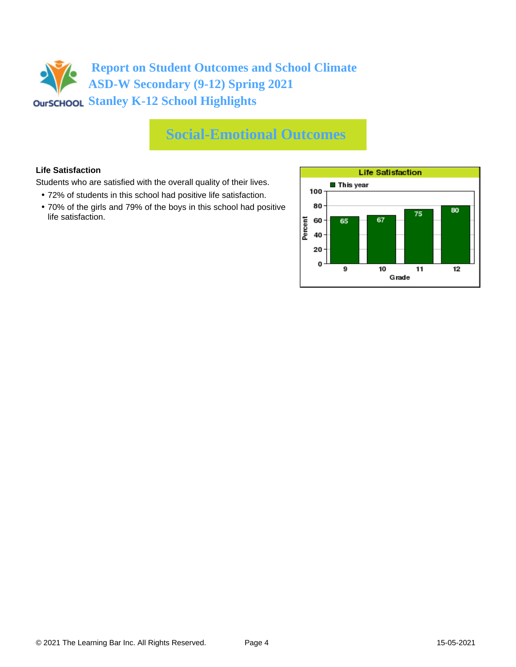# **Social-Emotional Outcomes**

### **Life Satisfaction**

Students who are satisfied with the overall quality of their lives.

- 72% of students in this school had positive life satisfaction.
- 70% of the girls and 79% of the boys in this school had positive life satisfaction.

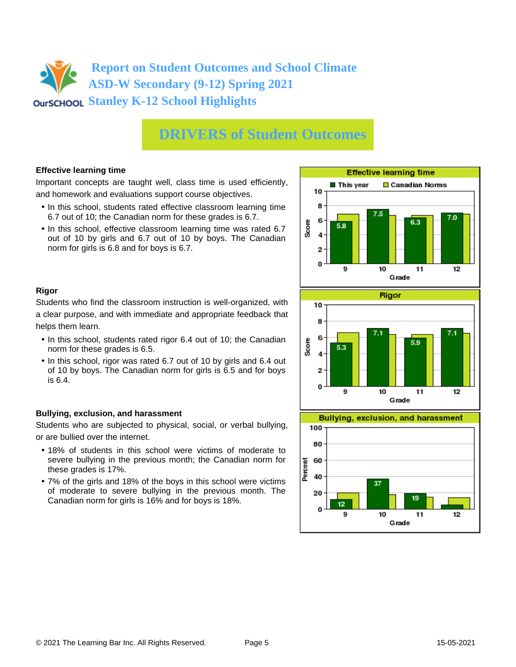# **DRIVERS of Student Outcomes**

### **Effective learning time**

Important concepts are taught well, class time is used efficiently, and homework and evaluations support course objectives.

- In this school, students rated effective classroom learning time 6.7 out of 10; the Canadian norm for these grades is 6.7.
- In this school, effective classroom learning time was rated 6.7 out of 10 by girls and 6.7 out of 10 by boys. The Canadian norm for girls is 6.8 and for boys is 6.7.





Students who find the classroom instruction is well-organized, with a clear purpose, and with immediate and appropriate feedback that helps them learn.

- In this school, students rated rigor 6.4 out of 10; the Canadian norm for these grades is 6.5.
- In this school, rigor was rated 6.7 out of 10 by girls and 6.4 out of 10 by boys. The Canadian norm for girls is 6.5 and for boys is 6.4.

### **Bullying, exclusion, and harassment**

Students who are subjected to physical, social, or verbal bullying, or are bullied over the internet.

- 18% of students in this school were victims of moderate to severe bullying in the previous month; the Canadian norm for these grades is 17%.
- 7% of the girls and 18% of the boys in this school were victims of moderate to severe bullying in the previous month. The Canadian norm for girls is 16% and for boys is 18%.



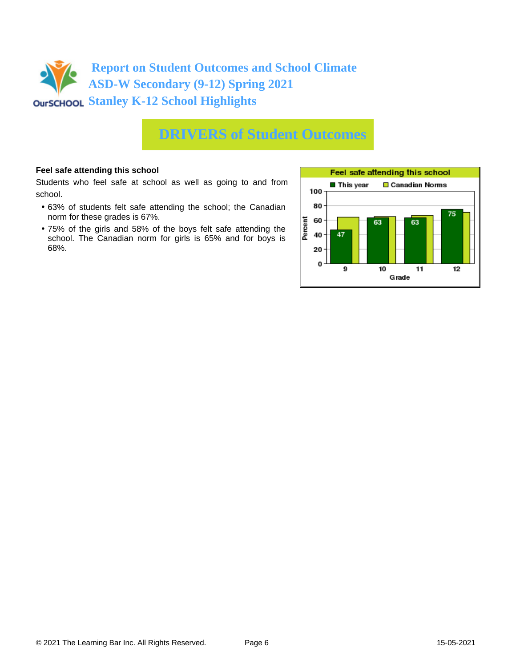

## **DRIVERS of Student Outcomes**

### **Feel safe attending this school**

Students who feel safe at school as well as going to and from school.

- 63% of students felt safe attending the school; the Canadian norm for these grades is 67%.
- 75% of the girls and 58% of the boys felt safe attending the school. The Canadian norm for girls is 65% and for boys is 68%.

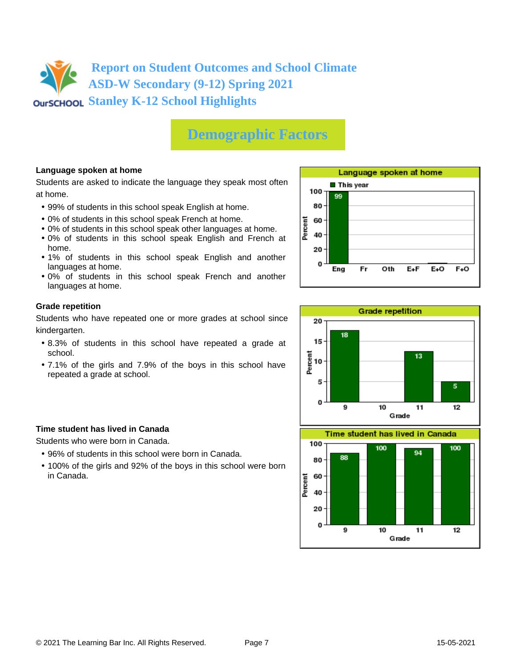## **Demographic Factors**

### **Language spoken at home**

Students are asked to indicate the language they speak most often at home.

- 99% of students in this school speak English at home.
- 0% of students in this school speak French at home.
- 0% of students in this school speak other languages at home.
- 0% of students in this school speak English and French at home.
- 1% of students in this school speak English and another languages at home.
- 0% of students in this school speak French and another languages at home.

#### **Grade repetition**

Students who have repeated one or more grades at school since kindergarten.

- 8.3% of students in this school have repeated a grade at school.
- 7.1% of the girls and 7.9% of the boys in this school have repeated a grade at school.

### **Time student has lived in Canada**

Students who were born in Canada.

- 96% of students in this school were born in Canada.
- 100% of the girls and 92% of the boys in this school were born in Canada.



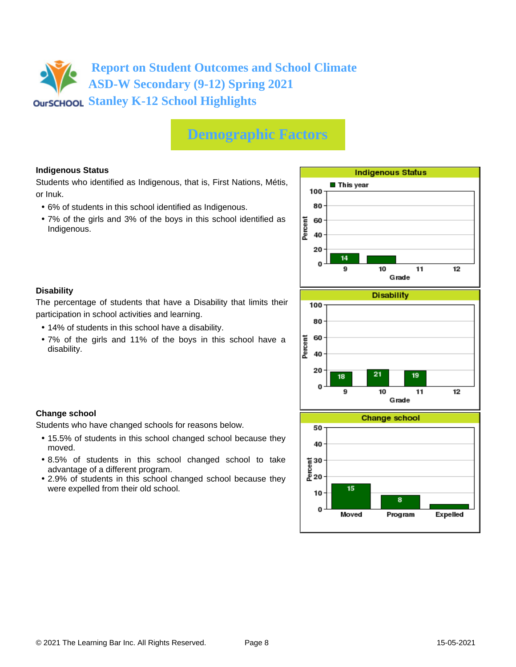## **Demographic Factors**

### **Indigenous Status**

Students who identified as Indigenous, that is, First Nations, Métis, or Inuk.

- 6% of students in this school identified as Indigenous.
- 7% of the girls and 3% of the boys in this school identified as Indigenous.



### **Disability**

**Change school**

moved.

The percentage of students that have a Disability that limits their participation in school activities and learning.

• 14% of students in this school have a disability.

Students who have changed schools for reasons below.

advantage of a different program.

were expelled from their old school.

• 7% of the girls and 11% of the boys in this school have a disability.

• 15.5% of students in this school changed school because they

• 8.5% of students in this school changed school to take

• 2.9% of students in this school changed school because they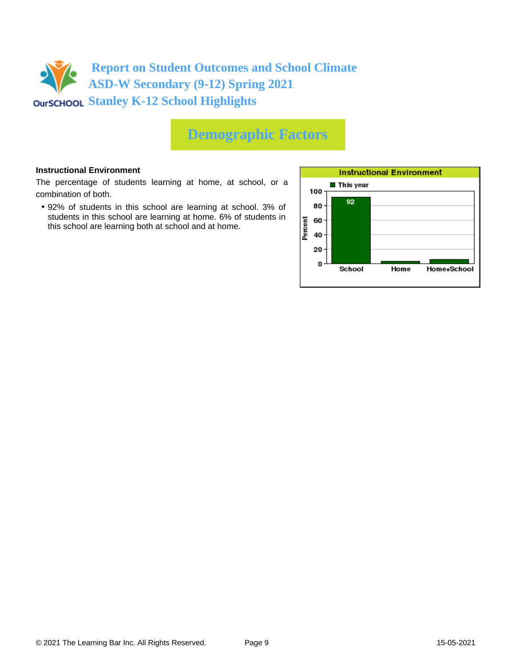

## **Demographic Factors**

#### **Instructional Environment**

The percentage of students learning at home, at school, or a combination of both.

• 92% of students in this school are learning at school. 3% of students in this school are learning at home. 6% of students in this school are learning both at school and at home.

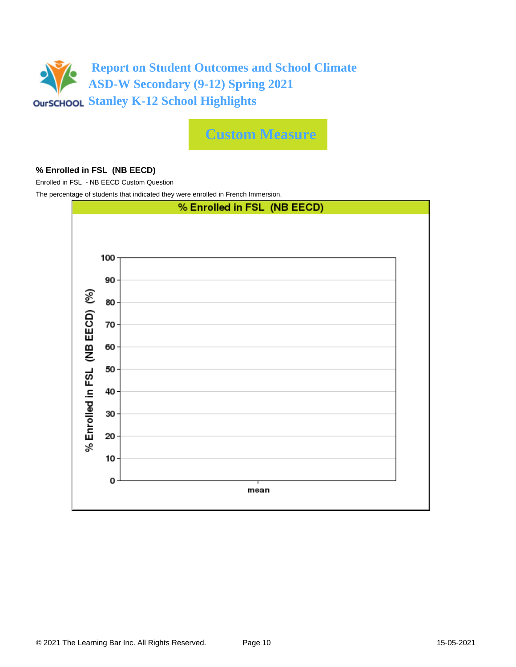

**Custom Measure**

### **% Enrolled in FSL (NB EECD)**

Enrolled in FSL - NB EECD Custom Question

The percentage of students that indicated they were enrolled in French Immersion.

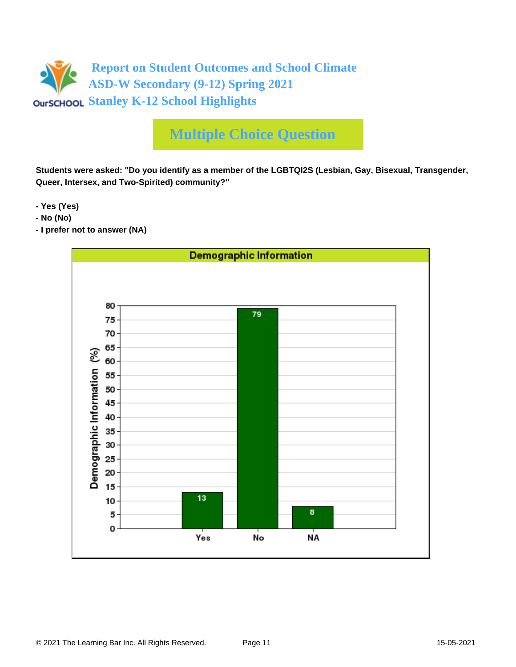

# **Multiple Choice Question**

**Students were asked: "Do you identify as a member of the LGBTQI2S (Lesbian, Gay, Bisexual, Transgender, Queer, Intersex, and Two-Spirited) community?"**

**- Yes (Yes)**

- **No (No)**
- **I prefer not to answer (NA)**

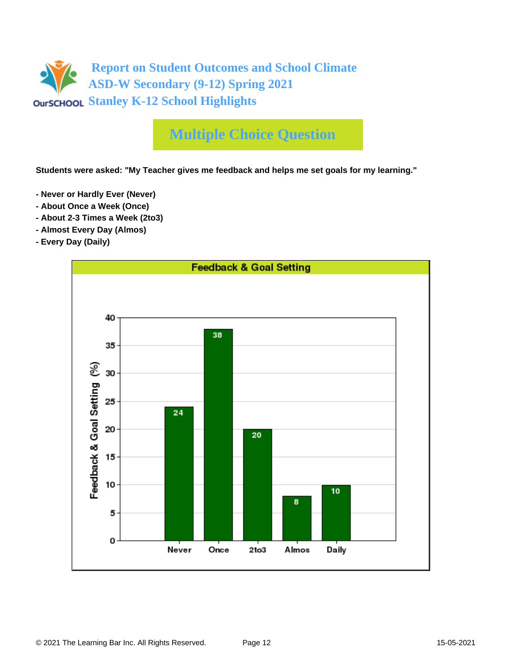

## **Multiple Choice Question**

**Students were asked: "My Teacher gives me feedback and helps me set goals for my learning."**

- **Never or Hardly Ever (Never)**
- **About Once a Week (Once)**
- **About 2-3 Times a Week (2to3)**
- **Almost Every Day (Almos)**
- **Every Day (Daily)**